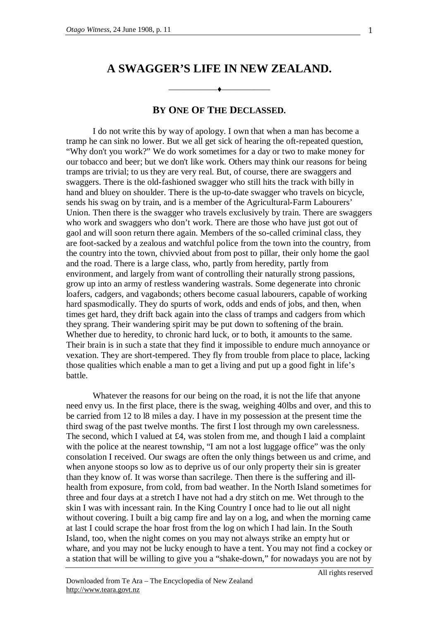## **A SWAGGER'S LIFE IN NEW ZEALAND.**

——————♦——————

## **BY ONE OF THE DECLASSED.**

I do not write this by way of apology. I own that when a man has become a tramp he can sink no lower. But we all get sick of hearing the oft-repeated question, "Why don't you work?" We do work sometimes for a day or two to make money for our tobacco and beer; but we don't like work. Others may think our reasons for being tramps are trivial; to us they are very real. But, of course, there are swaggers and swaggers. There is the old-fashioned swagger who still hits the track with billy in hand and bluey on shoulder. There is the up-to-date swagger who travels on bicycle, sends his swag on by train, and is a member of the Agricultural-Farm Labourers' Union. Then there is the swagger who travels exclusively by train. There are swaggers who work and swaggers who don't work. There are those who have just got out of gaol and will soon return there again. Members of the so-called criminal class, they are foot-sacked by a zealous and watchful police from the town into the country, from the country into the town, chivvied about from post to pillar, their only home the gaol and the road. There is a large class, who, partly from heredity, partly from environment, and largely from want of controlling their naturally strong passions, grow up into an army of restless wandering wastrals. Some degenerate into chronic loafers, cadgers, and vagabonds; others become casual labourers, capable of working hard spasmodically. They do spurts of work, odds and ends of jobs, and then, when times get hard, they drift back again into the class of tramps and cadgers from which they sprang. Their wandering spirit may be put down to softening of the brain. Whether due to heredity, to chronic hard luck, or to both, it amounts to the same. Their brain is in such a state that they find it impossible to endure much annoyance or vexation. They are short-tempered. They fly from trouble from place to place, lacking those qualities which enable a man to get a living and put up a good fight in life's battle.

Whatever the reasons for our being on the road, it is not the life that anyone need envy us. In the first place, there is the swag, weighing 40lbs and over, and this to be carried from 12 to l8 miles a day. I have in my possession at the present time the third swag of the past twelve months. The first I lost through my own carelessness. The second, which I valued at £4, was stolen from me, and though I laid a complaint with the police at the nearest township, "I am not a lost luggage office" was the only consolation I received. Our swags are often the only things between us and crime, and when anyone stoops so low as to deprive us of our only property their sin is greater than they know of. It was worse than sacrilege. Then there is the suffering and illhealth from exposure, from cold, from bad weather. In the North Island sometimes for three and four days at a stretch I have not had a dry stitch on me. Wet through to the skin I was with incessant rain. In the King Country I once had to lie out all night without covering. I built a big camp fire and lay on a log, and when the morning came at last I could scrape the hoar frost from the log on which I had lain. In the South Island, too, when the night comes on you may not always strike an empty hut or whare, and you may not be lucky enough to have a tent. You may not find a cockey or a station that will be willing to give you a "shake-down," for nowadays you are not by

All rights reserved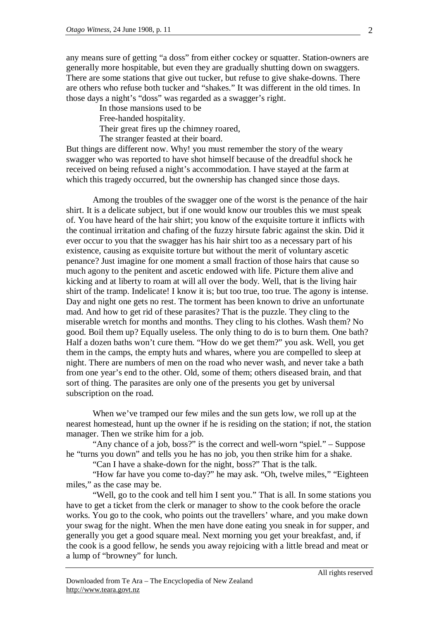any means sure of getting "a doss" from either cockey or squatter. Station-owners are generally more hospitable, but even they are gradually shutting down on swaggers. There are some stations that give out tucker, but refuse to give shake-downs. There are others who refuse both tucker and "shakes." It was different in the old times. In those days a night's "doss" was regarded as a swagger's right.

In those mansions used to be Free-handed hospitality. Their great fires up the chimney roared, The stranger feasted at their board.

But things are different now. Why! you must remember the story of the weary swagger who was reported to have shot himself because of the dreadful shock he received on being refused a night's accommodation. I have stayed at the farm at which this tragedy occurred, but the ownership has changed since those days.

Among the troubles of the swagger one of the worst is the penance of the hair shirt. It is a delicate subject, but if one would know our troubles this we must speak of. You have heard of the hair shirt; you know of the exquisite torture it inflicts with the continual irritation and chafing of the fuzzy hirsute fabric against the skin. Did it ever occur to you that the swagger has his hair shirt too as a necessary part of his existence, causing as exquisite torture but without the merit of voluntary ascetic penance? Just imagine for one moment a small fraction of those hairs that cause so much agony to the penitent and ascetic endowed with life. Picture them alive and kicking and at liberty to roam at will all over the body. Well, that is the living hair shirt of the tramp. Indelicate! I know it is; but too true, too true. The agony is intense. Day and night one gets no rest. The torment has been known to drive an unfortunate mad. And how to get rid of these parasites? That is the puzzle. They cling to the miserable wretch for months and months. They cling to his clothes. Wash them? No good. Boil them up? Equally useless. The only thing to do is to burn them. One bath? Half a dozen baths won't cure them. "How do we get them?" you ask. Well, you get them in the camps, the empty huts and whares, where you are compelled to sleep at night. There are numbers of men on the road who never wash, and never take a bath from one year's end to the other. Old, some of them; others diseased brain, and that sort of thing. The parasites are only one of the presents you get by universal subscription on the road.

When we've tramped our few miles and the sun gets low, we roll up at the nearest homestead, hunt up the owner if he is residing on the station; if not, the station manager. Then we strike him for a job.

"Any chance of a job, boss?" is the correct and well-worn "spiel." – Suppose he "turns you down" and tells you he has no job, you then strike him for a shake.

"Can I have a shake-down for the night, boss?" That is the talk.

"How far have you come to-day?" he may ask. "Oh, twelve miles," "Eighteen miles," as the case may be.

"Well, go to the cook and tell him I sent you." That is all. In some stations you have to get a ticket from the clerk or manager to show to the cook before the oracle works. You go to the cook, who points out the travellers' whare, and you make down your swag for the night. When the men have done eating you sneak in for supper, and generally you get a good square meal. Next morning you get your breakfast, and, if the cook is a good fellow, he sends you away rejoicing with a little bread and meat or a lump of "browney" for lunch.

All rights reserved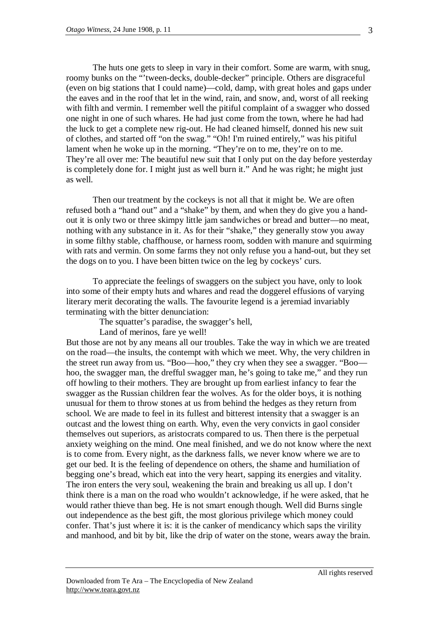The huts one gets to sleep in vary in their comfort. Some are warm, with snug, roomy bunks on the "'tween-decks, double-decker" principle. Others are disgraceful (even on big stations that I could name)—cold, damp, with great holes and gaps under the eaves and in the roof that let in the wind, rain, and snow, and, worst of all reeking with filth and vermin. I remember well the pitiful complaint of a swagger who dossed one night in one of such whares. He had just come from the town, where he had had the luck to get a complete new rig-out. He had cleaned himself, donned his new suit of clothes, and started off "on the swag." "Oh! I'm ruined entirely," was his pitiful lament when he woke up in the morning. "They're on to me, they're on to me. They're all over me: The beautiful new suit that I only put on the day before yesterday is completely done for. I might just as well burn it." And he was right; he might just as well.

Then our treatment by the cockeys is not all that it might be. We are often refused both a "hand out" and a "shake" by them, and when they do give you a handout it is only two or three skimpy little jam sandwiches or bread and butter—no meat, nothing with any substance in it. As for their "shake," they generally stow you away in some filthy stable, chaffhouse, or harness room, sodden with manure and squirming with rats and vermin. On some farms they not only refuse you a hand-out, but they set the dogs on to you. I have been bitten twice on the leg by cockeys' curs.

To appreciate the feelings of swaggers on the subject you have, only to look into some of their empty huts and whares and read the doggerel effusions of varying literary merit decorating the walls. The favourite legend is a jeremiad invariably terminating with the bitter denunciation:

The squatter's paradise, the swagger's hell,

Land of merinos, fare ye well!

But those are not by any means all our troubles. Take the way in which we are treated on the road—the insults, the contempt with which we meet. Why, the very children in the street run away from us. "Boo—hoo," they cry when they see a swagger. "Boo hoo, the swagger man, the drefful swagger man, he's going to take me," and they run off howling to their mothers. They are brought up from earliest infancy to fear the swagger as the Russian children fear the wolves. As for the older boys, it is nothing unusual for them to throw stones at us from behind the hedges as they return from school. We are made to feel in its fullest and bitterest intensity that a swagger is an outcast and the lowest thing on earth. Why, even the very convicts in gaol consider themselves out superiors, as aristocrats compared to us. Then there is the perpetual anxiety weighing on the mind. One meal finished, and we do not know where the next is to come from. Every night, as the darkness falls, we never know where we are to get our bed. It is the feeling of dependence on others, the shame and humiliation of begging one's bread, which eat into the very heart, sapping its energies and vitality. The iron enters the very soul, weakening the brain and breaking us all up. I don't think there is a man on the road who wouldn't acknowledge, if he were asked, that he would rather thieve than beg. He is not smart enough though. Well did Burns single out independence as the best gift, the most glorious privilege which money could confer. That's just where it is: it is the canker of mendicancy which saps the virility and manhood, and bit by bit, like the drip of water on the stone, wears away the brain.